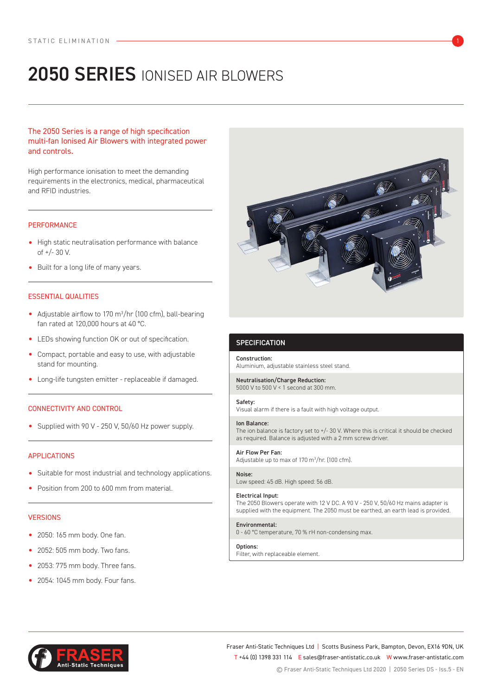# 2050 SERIES IONISED AIR BLOWERS

The 2050 Series is a range of high specification multi-fan Ionised Air Blowers with integrated power and controls.

High performance ionisation to meet the demanding requirements in the electronics, medical, pharmaceutical and RFID industries.

# **PERFORMANCE**

- High static neutralisation performance with balance of +/- 30 V.
- Built for a long life of many years.

# ESSENTIAL QUALITIES

- Adjustable airflow to 170 m3 /hr (100 cfm), ball-bearing fan rated at 120,000 hours at 40 °C.
- LEDs showing function OK or out of specification.
- Compact, portable and easy to use, with adjustable stand for mounting.
- Long-life tungsten emitter replaceable if damaged.

# CONNECTIVITY AND CONTROL

• Supplied with 90 V - 250 V, 50/60 Hz power supply.

# APPLICATIONS

- Suitable for most industrial and technology applications.
- Position from 200 to 600 mm from material.

## **VERSIONS**

- 2050: 165 mm body. One fan.
- 2052: 505 mm body. Two fans.
- 2053: 775 mm body. Three fans.
- 2054: 1045 mm body. Four fans.



# **SPECIFICATION**

Construction: Aluminium, adjustable stainless steel stand.

Neutralisation/Charge Reduction: 5000 V to 500 V < 1 second at 300 mm.

## Safety:

Visual alarm if there is a fault with high voltage output.

#### Ion Balance:

The ion balance is factory set to +/- 30 V. Where this is critical it should be checked as required. Balance is adjusted with a 2 mm screw driver.

Air Flow Per Fan: Adjustable up to max of 170 m<sup>3</sup>/hr. (100 cfm).

Noise: Low speed: 45 dB. High speed: 56 dB.

#### Electrical Input:

The 2050 Blowers operate with 12 V DC. A 90 V - 250 V, 50/60 Hz mains adapter is supplied with the equipment. The 2050 must be earthed, an earth lead is provided.

#### Environmental:

0 - 60 °C temperature, 70 % rH non-condensing max.

#### Options:

Filter, with replaceable element.



Fraser Anti-Static Techniques Ltd | Scotts Business Park, Bampton, Devon, EX16 9DN, UK T +44 (0) 1398 331 114 E sales@fraser-antistatic.co.uk W www.fraser-antistatic.com © Fraser Anti-Static Techniques Ltd 2020 | 2050 Series DS - Iss.5 - EN